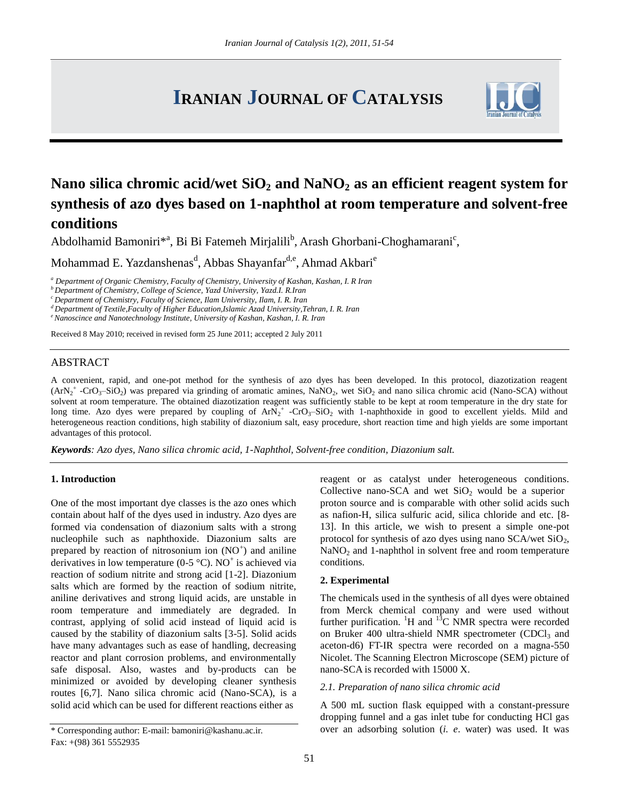# **IRANIAN JOURNAL OF CATALYSIS**



## **Nano silica chromic acid/wet SiO<sup>2</sup> and NaNO<sup>2</sup> as an efficient reagent system for synthesis of azo dyes based on 1-naphthol at room temperature and solvent-free conditions**

Abdolhamid Bamoniri\*<sup>a</sup>, Bi Bi Fatemeh Mirjalili<sup>b</sup>, Arash Ghorbani-Choghamarani<sup>c</sup>,

Mohammad E. Yazdanshenas<sup>d</sup>, Abbas Shayanfar<sup>d,e</sup>, Ahmad Akbari<sup>e</sup>

*<sup>a</sup> Department of Organic Chemistry, Faculty of Chemistry, University of Kashan, Kashan, I. R Iran*

*<sup>b</sup>Department of Chemistry, College of Science, Yazd University, Yazd.I. R.Iran*

*<sup>c</sup>Department of Chemistry, Faculty of Science, Ilam University, Ilam, I. R. Iran*

*<sup>d</sup>Department of Textile,Faculty of Higher Education,Islamic Azad University,Tehran, I. R. Iran*

*<sup>e</sup>Nanoscince and Nanotechnology Institute, University of Kashan, Kashan, I. R. Iran*

Received 8 May 2010; received in revised form 25 June 2011; accepted 2 July 2011

### ABSTRACT

A convenient, rapid, and one-pot method for the synthesis of azo dyes has been developed. In this protocol, diazotization reagent  $(ArN<sub>2</sub><sup>+</sup> -CrO<sub>3</sub>-SiO<sub>2</sub>)$  was prepared via grinding of aromatic amines, NaNO<sub>2</sub>, wet SiO<sub>2</sub> and nano silica chromic acid (Nano-SCA) without solvent at room temperature. The obtained diazotization reagent was sufficiently stable to be kept at room temperature in the dry state for long time. Azo dyes were prepared by coupling of  $ArN_2^+$  -CrO<sub>3</sub>-SiO<sub>2</sub> with 1-naphthoxide in good to excellent yields. Mild and heterogeneous reaction conditions, high stability of diazonium salt, easy procedure, short reaction time and high yields are some important advantages of this protocol.

*Keywords: Azo dyes, Nano silica chromic acid, 1-Naphthol, Solvent-free condition, Diazonium salt.*

#### **1. Introduction**

One of the most important dye classes is the azo ones which contain about half of the dyes used in industry. Azo dyes are formed via condensation of diazonium salts with a strong nucleophile such as naphthoxide. Diazonium salts are prepared by reaction of nitrosonium ion  $(NO<sup>+</sup>)$  and aniline derivatives in low temperature (0-5  $^{\circ}$ C). NO<sup>+</sup> is achieved via reaction of sodium nitrite and strong acid [1-2]. Diazonium salts which are formed by the reaction of sodium nitrite, aniline derivatives and strong liquid acids, are unstable in room temperature and immediately are degraded. In contrast, applying of solid acid instead of liquid acid is caused by the stability of diazonium salts [3-5]. Solid acids have many advantages such as ease of handling, decreasing reactor and plant corrosion problems, and environmentally safe disposal. Also, wastes and by-products can be minimized or avoided by developing cleaner synthesis routes [6,7]. Nano silica chromic acid (Nano-SCA), is a solid acid which can be used for different reactions either as

reagent or as catalyst under heterogeneous conditions. Collective nano-SCA and wet  $SiO<sub>2</sub>$  would be a superior proton source and is comparable with other solid acids such as nafion-H, silica sulfuric acid, silica chloride and etc. [8- 13]. In this article, we wish to present a simple one-pot protocol for synthesis of azo dyes using nano  $SCA$ /wet  $SiO<sub>2</sub>$ , NaNO<sub>2</sub> and 1-naphthol in solvent free and room temperature conditions.

#### **2. Experimental**

The chemicals used in the synthesis of all dyes were obtained from Merck chemical company and were used without further purification.  ${}^{1}H$  and  ${}^{13}C$  NMR spectra were recorded on Bruker 400 ultra-shield NMR spectrometer (CDCl<sub>3</sub> and aceton-d6) FT-IR spectra were recorded on a magna-550 Nicolet. The Scanning Electron Microscope (SEM) picture of nano-SCA is recorded with 15000 X.

#### *2.1. Preparation of nano silica chromic acid*

A 500 mL suction flask equipped with a constant-pressure dropping funnel and a gas inlet tube for conducting HCl gas over an adsorbing solution (*i. e*. water) was used. It was

<sup>\*</sup> Corresponding author: E-mail: [bamoniri@kashanu.ac.ir.](mailto:bamoniri@kashanu.ac.ir) Fax: +(98) 361 5552935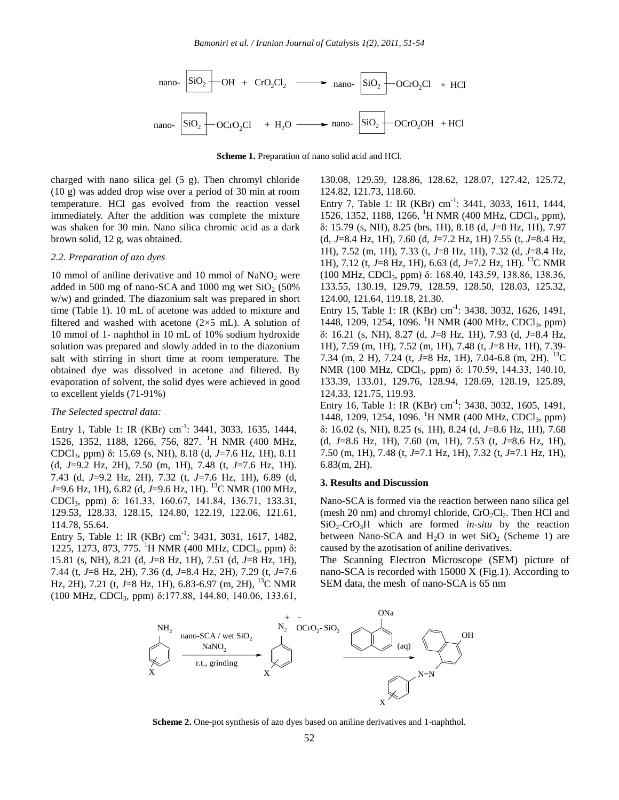

**Scheme 1.** Preparation of nano solid acid and HCl.

charged with nano silica gel (5 g). Then chromyl chloride (10 g) was added drop wise over a period of 30 min at room temperature. HCl gas evolved from the reaction vessel immediately. After the addition was complete the mixture was shaken for 30 min. Nano silica chromic acid as a dark brown solid, 12 g, was obtained.

#### *2.2. Preparation of azo dyes*

10 mmol of aniline derivative and 10 mmol of  $NaNO<sub>2</sub>$  were added in 500 mg of nano-SCA and 1000 mg wet  $SiO<sub>2</sub>$  (50%) w/w) and grinded. The diazonium salt was prepared in short time (Table 1). 10 mL of acetone was added to mixture and filtered and washed with acetone  $(2\times5$  mL). A solution of 10 mmol of 1- naphthol in 10 mL of 10% sodium hydroxide solution was prepared and slowly added in to the diazonium salt with stirring in short time at room temperature. The obtained dye was dissolved in acetone and filtered. By evaporation of solvent, the solid dyes were achieved in good to excellent yields (71-91%)

#### *The Selected spectral data:*

Entry 1, Table 1: IR (KBr) cm<sup>-1</sup>: 3441, 3033, 1635, 1444, 1526, 1352, 1188, 1266, 756, 827. <sup>1</sup>H NMR (400 MHz, CDCl3, ppm) δ: 15.69 (s, NH), 8.18 (d, *J*=7.6 Hz, 1H), 8.11 (d, *J*=9.2 Hz, 2H), 7.50 (m, 1H), 7.48 (t, *J*=7.6 Hz, 1H). 7.43 (d, *J*=9.2 Hz, 2H), 7.32 (t, *J*=7.6 Hz, 1H), 6.89 (d, *J*=9.6 Hz, 1H), 6.82 (d, *J*=9.6 Hz, 1H). <sup>13</sup>C NMR (100 MHz, CDCl3, ppm) δ: 161.33, 160.67, 141.84, 136.71, 133.31, 129.53, 128.33, 128.15, 124.80, 122.19, 122.06, 121.61, 114.78, 55.64.

Entry 5, Table 1: IR (KBr) cm<sup>-1</sup>: 3431, 3031, 1617, 1482, 1225, 1273, 873, 775. <sup>1</sup>H NMR (400 MHz, CDCl<sub>3</sub>, ppm) δ: 15.81 (s, NH), 8.21 (d, *J*=8 Hz, 1H), 7.51 (d, *J*=8 Hz, 1H), 7.44 (t, *J*=8 Hz, 2H), 7.36 (d, *J*=8.4 Hz, 2H), 7.29 (t, *J*=7.6 Hz, 2H), 7.21 (t, J=8 Hz, 1H), 6.83-6.97 (m, 2H), <sup>13</sup>C NMR (100 MHz, CDCl<sub>3</sub>, ppm)  $\delta$ :177.88, 144.80, 140.06, 133.61,

130.08, 129.59, 128.86, 128.62, 128.07, 127.42, 125.72, 124.82, 121.73, 118.60.

Entry 7, Table 1: IR (KBr) cm<sup>-1</sup>: 3441, 3033, 1611, 1444, 1526, 1352, 1188, 1266, <sup>1</sup>H NMR (400 MHz, CDCl<sub>3</sub>, ppm), δ: 15.79 (s, NH), 8.25 (brs, 1H), 8.18 (d, *J*=8 Hz, 1H), 7.97 (d, *J*=8.4 Hz, 1H), 7.60 (d, *J*=7.2 Hz, 1H) 7.55 (t, *J*=8.4 Hz, 1H), 7.52 (m, 1H), 7.33 (t, *J*=8 Hz, 1H), 7.32 (d, *J*=8.4 Hz, 1H), 7.12 (t, *J*=8 Hz, 1H), 6.63 (d, *J*=7.2 Hz, 1H). <sup>13</sup>C NMR (100 MHz, CDCl3, ppm) δ: 168.40, 143.59, 138.86, 138.36, 133.55, 130.19, 129.79, 128.59, 128.50, 128.03, 125.32, 124.00, 121.64, 119.18, 21.30.

Entry 15, Table 1: IR (KBr) cm<sup>-1</sup>: 3438, 3032, 1626, 1491, 1448, 1209, 1254, 1096. <sup>1</sup>H NMR (400 MHz, CDCl<sub>3</sub>, ppm) δ: 16.21 (s, NH), 8.27 (d, *J*=8 Hz, 1H), 7.93 (d, *J*=8.4 Hz, 1H), 7.59 (m, 1H), 7.52 (m, 1H), 7.48 (t, *J*=8 Hz, 1H), 7.39- 7.34 (m, 2 H), 7.24 (t, *J*=8 Hz, 1H), 7.04-6.8 (m, 2H). <sup>13</sup>C NMR (100 MHz, CDCl<sub>3</sub>, ppm) δ: 170.59, 144.33, 140.10, 133.39, 133.01, 129.76, 128.94, 128.69, 128.19, 125.89, 124.33, 121.75, 119.93.

Entry 16, Table 1: IR (KBr) cm<sup>-1</sup>: 3438, 3032, 1605, 1491, 1448, 1209, 1254, 1096. <sup>1</sup>H NMR (400 MHz, CDCl<sub>3</sub>, ppm) δ: 16.02 (s, NH), 8.25 (s, 1H), 8.24 (d, *J*=8.6 Hz, 1H), 7.68 (d, *J*=8.6 Hz, 1H), 7.60 (m, 1H), 7.53 (t, *J*=8.6 Hz, 1H), 7.50 (m, 1H), 7.48 (t, *J*=7.1 Hz, 1H), 7.32 (t, *J*=7.1 Hz, 1H), 6.83(m, 2H).

#### **3. Results and Discussion**

Nano-SCA is formed via the reaction between nano silica gel (mesh 20 nm) and chromyl chloride,  $CrO_2Cl_2$ . Then HCl and  $SiO<sub>2</sub>-CrO<sub>3</sub>H$  which are formed *in-situ* by the reaction between Nano-SCA and  $H_2O$  in wet SiO<sub>2</sub> (Scheme 1) are caused by the azotisation of aniline derivatives.

The Scanning Electron Microscope (SEM) picture of nano-SCA is recorded with 15000 X (Fig.1). According to SEM data, the mesh of nano-SCA is 65 nm



**Scheme 2.** One-pot synthesis of azo dyes based on aniline derivatives and 1-naphthol.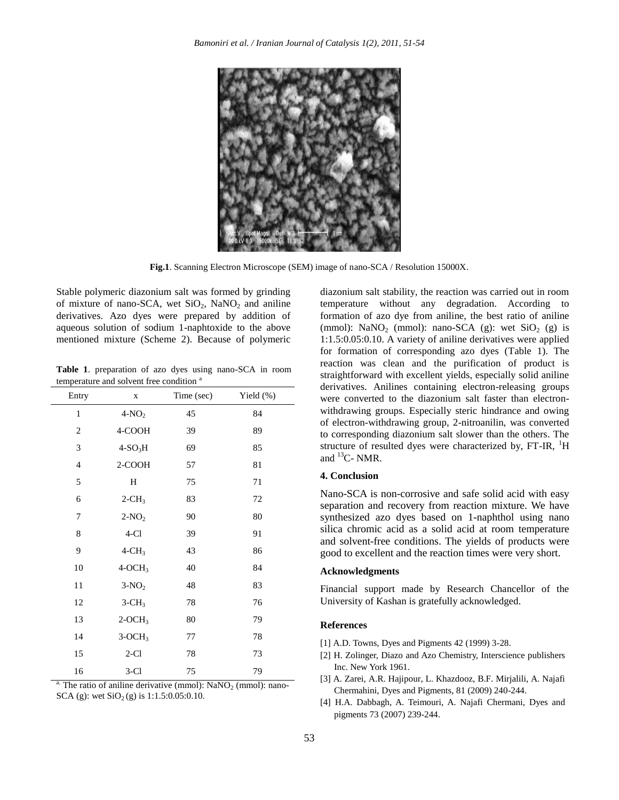

**Fig.1**. Scanning Electron Microscope (SEM) image of nano-SCA / Resolution 15000X.

Stable polymeric diazonium salt was formed by grinding of mixture of nano-SCA, wet  $SiO<sub>2</sub>$ , NaNO<sub>2</sub> and aniline derivatives. Azo dyes were prepared by addition of aqueous solution of sodium 1-naphtoxide to the above mentioned mixture (Scheme 2). Because of polymeric

**Table 1**. preparation of azo dyes using nano-SCA in room temperature and solvent free condition<sup>a</sup>

| Entry          | $\mathbf X$          | Time (sec) | Yield $(\%)$ |
|----------------|----------------------|------------|--------------|
| $\,1\,$        | $4-NO2$              | 45         | 84           |
| $\overline{c}$ | 4-COOH               | 39         | 89           |
| $\mathfrak{Z}$ | $4-SO3H$             | 69         | 85           |
| $\overline{4}$ | 2-COOH               | 57         | 81           |
| 5              | H                    | 75         | 71           |
| 6              | $2$ -CH <sub>3</sub> | 83         | 72           |
| 7              | $2-NO2$              | 90         | 80           |
| 8              | $4-Cl$               | 39         | 91           |
| 9              | $4 - CH3$            | 43         | 86           |
| 10             | $4-OCH3$             | 40         | 84           |
| 11             | $3-NO2$              | 48         | 83           |
| 12             | $3-CH3$              | 78         | 76           |
| 13             | $2-OCH3$             | 80         | 79           |
| 14             | $3-OCH3$             | 77         | 78           |
| 15             | $2-Cl$               | 78         | 73           |
| 16             | $3-Cl$               | 75         | 79           |

<sup>a.</sup> The ratio of aniline derivative (mmol):  $\text{NaNO}_2$  (mmol): nano-SCA (g): wet  $SiO<sub>2</sub>$  (g) is 1:1.5:0.05:0.10.

diazonium salt stability, the reaction was carried out in room temperature without any degradation. According to formation of azo dye from aniline, the best ratio of aniline (mmol): NaNO<sub>2</sub> (mmol): nano-SCA (g): wet SiO<sub>2</sub> (g) is 1:1.5:0.05:0.10. A variety of aniline derivatives were applied for formation of corresponding azo dyes (Table 1). The reaction was clean and the purification of product is straightforward with excellent yields, especially solid aniline derivatives. Anilines containing electron-releasing groups were converted to the diazonium salt faster than electronwithdrawing groups. Especially steric hindrance and owing of electron-withdrawing group, 2-nitroanilin, was converted to corresponding diazonium salt slower than the others. The structure of resulted dyes were characterized by,  $FT-IR$ ,  $^{1}H$ and  ${}^{13}$ C- NMR.

#### **4. Conclusion**

Nano-SCA is non-corrosive and safe solid acid with easy separation and recovery from reaction mixture. We have synthesized azo dyes based on 1-naphthol using nano silica chromic acid as a solid acid at room temperature and solvent-free conditions. The yields of products were good to excellent and the reaction times were very short.

#### **Acknowledgments**

Financial support made by Research Chancellor of the University of Kashan is gratefully acknowledged.

#### **References**

- [1] A.D. Towns, Dyes and Pigments 42 (1999) 3-28.
- [2] H. Zolinger, Diazo and Azo Chemistry, Interscience publishers Inc. New York 1961.
- [3] A. Zarei, A.R. Hajipour, L. Khazdooz, B.F. Mirjalili, A. Najafi Chermahini, Dyes and Pigments, 81 (2009) 240-244.
- [4] H.A. Dabbagh, A. Teimouri, A. Najafi Chermani, Dyes and pigments 73 (2007) 239-244.